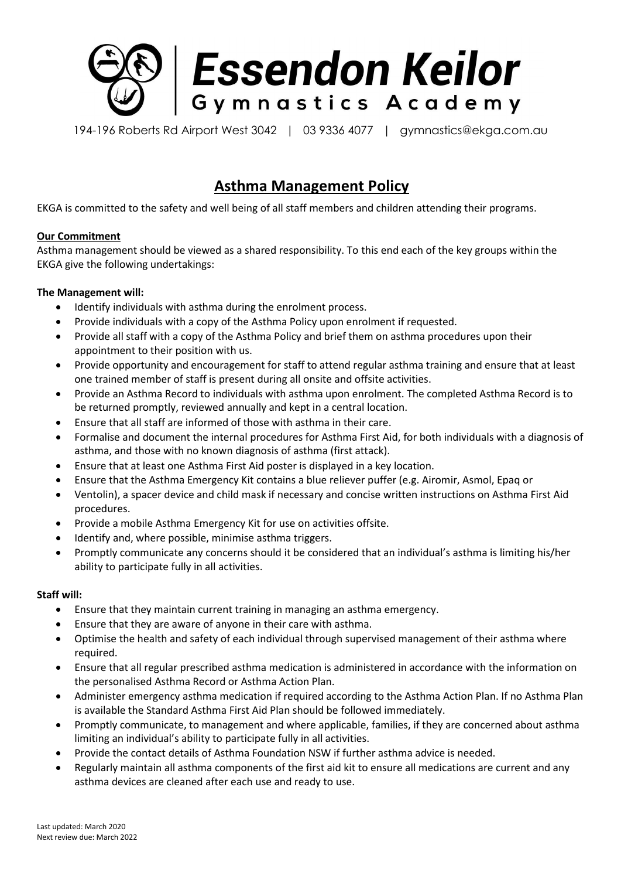

194-196 Roberts Rd Airport West 3042 | 03 9336 4077 | gymnastics@ekga.com.au

# **Asthma Management Policy**

EKGA is committed to the safety and well being of all staff members and children attending their programs.

# **Our Commitment**

Asthma management should be viewed as a shared responsibility. To this end each of the key groups within the EKGA give the following undertakings:

# **The Management will:**

- Identify individuals with asthma during the enrolment process.
- Provide individuals with a copy of the Asthma Policy upon enrolment if requested.
- Provide all staff with a copy of the Asthma Policy and brief them on asthma procedures upon their appointment to their position with us.
- Provide opportunity and encouragement for staff to attend regular asthma training and ensure that at least one trained member of staff is present during all onsite and offsite activities.
- Provide an Asthma Record to individuals with asthma upon enrolment. The completed Asthma Record is to be returned promptly, reviewed annually and kept in a central location.
- Ensure that all staff are informed of those with asthma in their care.
- Formalise and document the internal procedures for Asthma First Aid, for both individuals with a diagnosis of asthma, and those with no known diagnosis of asthma (first attack).
- Ensure that at least one Asthma First Aid poster is displayed in a key location.
- Ensure that the Asthma Emergency Kit contains a blue reliever puffer (e.g. Airomir, Asmol, Epaq or
- Ventolin), a spacer device and child mask if necessary and concise written instructions on Asthma First Aid procedures.
- Provide a mobile Asthma Emergency Kit for use on activities offsite.
- Identify and, where possible, minimise asthma triggers.
- Promptly communicate any concerns should it be considered that an individual's asthma is limiting his/her ability to participate fully in all activities.

# **Staff will:**

- Ensure that they maintain current training in managing an asthma emergency.
- Ensure that they are aware of anyone in their care with asthma.
- Optimise the health and safety of each individual through supervised management of their asthma where required.
- Ensure that all regular prescribed asthma medication is administered in accordance with the information on the personalised Asthma Record or Asthma Action Plan.
- Administer emergency asthma medication if required according to the Asthma Action Plan. If no Asthma Plan is available the Standard Asthma First Aid Plan should be followed immediately.
- Promptly communicate, to management and where applicable, families, if they are concerned about asthma limiting an individual's ability to participate fully in all activities.
- Provide the contact details of Asthma Foundation NSW if further asthma advice is needed.
- Regularly maintain all asthma components of the first aid kit to ensure all medications are current and any asthma devices are cleaned after each use and ready to use.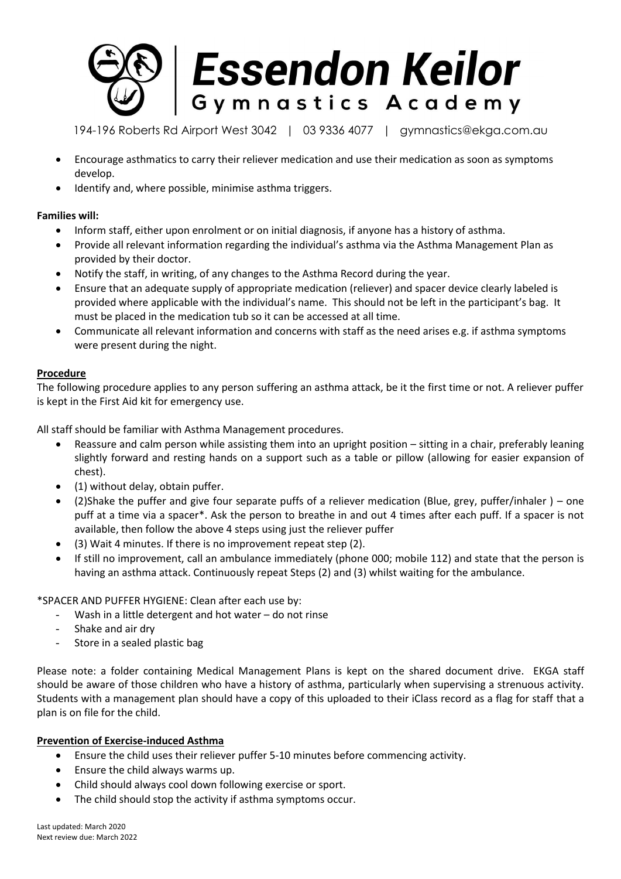

194-196 Roberts Rd Airport West 3042 | 03 9336 4077 | gymnastics@ekga.com.au

- Encourage asthmatics to carry their reliever medication and use their medication as soon as symptoms develop.
- Identify and, where possible, minimise asthma triggers.

# **Families will:**

- Inform staff, either upon enrolment or on initial diagnosis, if anyone has a history of asthma.
- Provide all relevant information regarding the individual's asthma via the Asthma Management Plan as provided by their doctor.
- Notify the staff, in writing, of any changes to the Asthma Record during the year.
- Ensure that an adequate supply of appropriate medication (reliever) and spacer device clearly labeled is provided where applicable with the individual's name. This should not be left in the participant's bag. It must be placed in the medication tub so it can be accessed at all time.
- Communicate all relevant information and concerns with staff as the need arises e.g. if asthma symptoms were present during the night.

# **Procedure**

The following procedure applies to any person suffering an asthma attack, be it the first time or not. A reliever puffer is kept in the First Aid kit for emergency use.

All staff should be familiar with Asthma Management procedures.

- Reassure and calm person while assisting them into an upright position sitting in a chair, preferably leaning slightly forward and resting hands on a support such as a table or pillow (allowing for easier expansion of chest).
- (1) without delay, obtain puffer.
- (2)Shake the puffer and give four separate puffs of a reliever medication (Blue, grey, puffer/inhaler ) one puff at a time via a spacer\*. Ask the person to breathe in and out 4 times after each puff. If a spacer is not available, then follow the above 4 steps using just the reliever puffer
- (3) Wait 4 minutes. If there is no improvement repeat step (2).
- If still no improvement, call an ambulance immediately (phone 000; mobile 112) and state that the person is having an asthma attack. Continuously repeat Steps (2) and (3) whilst waiting for the ambulance.

\*SPACER AND PUFFER HYGIENE: Clean after each use by:

- Wash in a little detergent and hot water  $-$  do not rinse
- Shake and air dry
- Store in a sealed plastic bag

Please note: a folder containing Medical Management Plans is kept on the shared document drive. EKGA staff should be aware of those children who have a history of asthma, particularly when supervising a strenuous activity. Students with a management plan should have a copy of this uploaded to their iClass record as a flag for staff that a plan is on file for the child.

# **Prevention of Exercise-induced Asthma**

- Ensure the child uses their reliever puffer 5-10 minutes before commencing activity.
- Ensure the child always warms up.
- Child should always cool down following exercise or sport.
- The child should stop the activity if asthma symptoms occur.